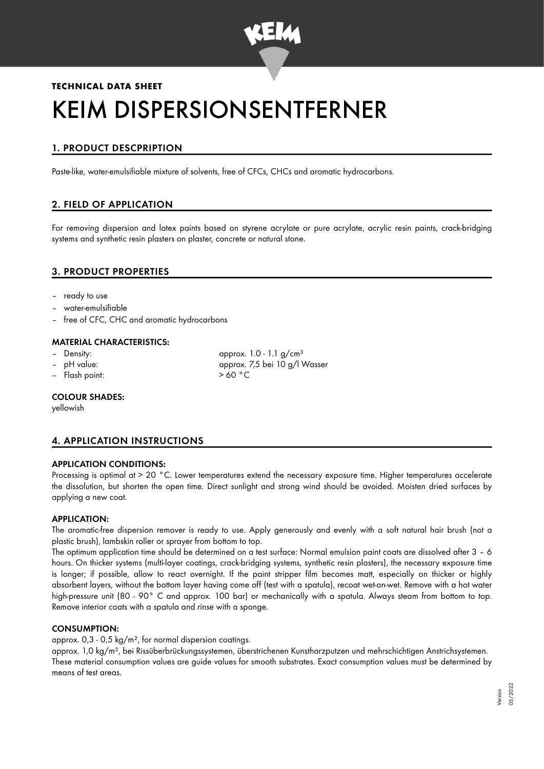

# **TECHNICAL DATA SHEET** KEIM DISPERSIONSENTFERNER

# 1. PRODUCT DESCPRIPTION

Paste-like, water-emulsifiable mixture of solvents, free of CFCs, CHCs and aromatic hydrocarbons.

# 2. FIELD OF APPLICATION

For removing dispersion and latex paints based on styrene acrylate or pure acrylate, acrylic resin paints, crack-bridging systems and synthetic resin plasters on plaster, concrete or natural stone.

# 3. PRODUCT PROPERTIES

- ready to use
- water-emulsifiable
- free of CFC, CHC and aromatic hydrocarbons

#### MATERIAL CHARACTERISTICS:

- 
- 
- Flash point:  $> 60 °C$

Density:  $\qquad \qquad \text{approx. 1.0 - 1.1 g/cm<sup>3</sup>}$ – pH value: approx. 7,5 bei 10 g/l Wasser

#### COLOUR SHADES:

yellowish

# 4. APPLICATION INSTRUCTIONS

#### APPLICATION CONDITIONS:

Processing is optimal at > 20 °C. Lower temperatures extend the necessary exposure time. Higher temperatures accelerate the dissolution, but shorten the open time. Direct sunlight and strong wind should be avoided. Moisten dried surfaces by applying a new coat.

#### APPLICATION:

The aromatic-free dispersion remover is ready to use. Apply generously and evenly with a soft natural hair brush (not a plastic brush), lambskin roller or sprayer from bottom to top.

The optimum application time should be determined on a test surface: Normal emulsion paint coats are dissolved after 3 – 6 hours. On thicker systems (multi-layer coatings, crack-bridging systems, synthetic resin plasters), the necessary exposure time is longer; if possible, allow to react overnight. If the paint stripper film becomes matt, especially on thicker or highly absorbent layers, without the bottom layer having come off (test with a spatula), recoat wet-on-wet. Remove with a hot water high-pressure unit (80 - 90° C and approx. 100 bar) or mechanically with a spatula. Always steam from bottom to top. Remove interior coats with a spatula and rinse with a sponge.

#### CONSUMPTION:

approx. 0,3 - 0,5 kg/m², for normal dispersion coatings.

approx. 1,0 kg/m², bei Rissüberbrückungssystemen, überstrichenen Kunstharzputzen und mehrschichtigen Anstrichsystemen. These material consumption values are guide values for smooth substrates. Exact consumption values must be determined by means of test areas.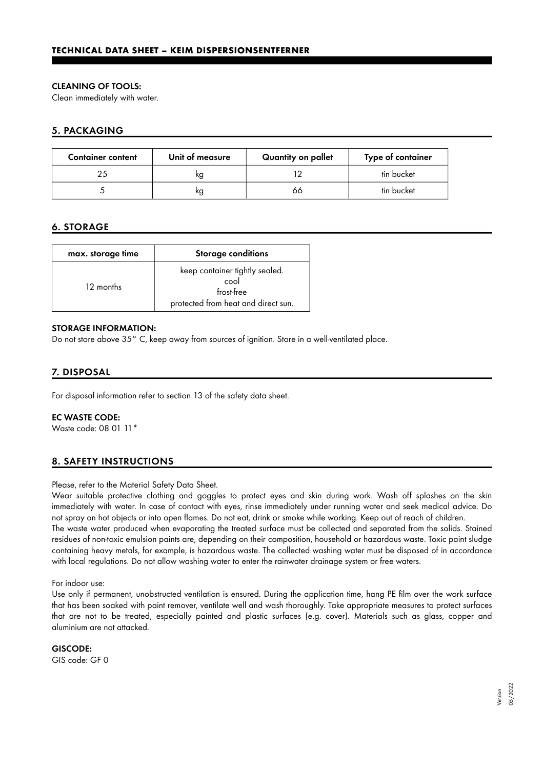#### CLEANING OF TOOLS:

Clean immediately with water.

## 5. PACKAGING

| <b>Container content</b> | Unit of measure | Quantity on pallet | Type of container |
|--------------------------|-----------------|--------------------|-------------------|
|                          |                 |                    | tin bucket        |
|                          | κg              | 66                 | tin bucket        |

### 6. STORAGE

| max. storage time | <b>Storage conditions</b>                                                                   |  |
|-------------------|---------------------------------------------------------------------------------------------|--|
| 12 months         | keep container tightly sealed.<br>cool<br>frost-free<br>protected from heat and direct sun. |  |

#### STORAGE INFORMATION:

Do not store above 35° C, keep away from sources of ignition. Store in a well-ventilated place.

# 7. DISPOSAL

For disposal information refer to section 13 of the safety data sheet.

#### EC WASTE CODE:

Waste code: 08 01 11\*

# 8. SAFETY INSTRUCTIONS

Please, refer to the Material Safety Data Sheet.

Wear suitable protective clothing and goggles to protect eyes and skin during work. Wash off splashes on the skin immediately with water. In case of contact with eyes, rinse immediately under running water and seek medical advice. Do not spray on hot objects or into open flames. Do not eat, drink or smoke while working. Keep out of reach of children. The waste water produced when evaporating the treated surface must be collected and separated from the solids. Stained residues of non-toxic emulsion paints are, depending on their composition, household or hazardous waste. Toxic paint sludge containing heavy metals, for example, is hazardous waste. The collected washing water must be disposed of in accordance

with local regulations. Do not allow washing water to enter the rainwater drainage system or free waters.

#### For indoor use:

Use only if permanent, unobstructed ventilation is ensured. During the application time, hang PE film over the work surface that has been soaked with paint remover, ventilate well and wash thoroughly. Take appropriate measures to protect surfaces that are not to be treated, especially painted and plastic surfaces (e.g. cover). Materials such as glass, copper and aluminium are not attacked.

#### GISCODE:

GIS code: GF 0